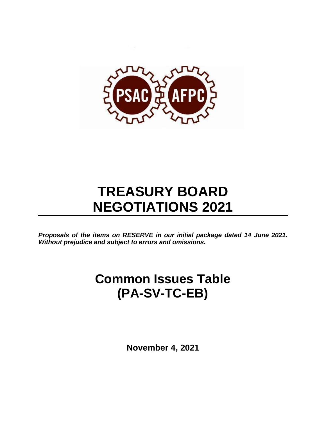

# **TREASURY BOARD NEGOTIATIONS 2021**

*Proposals of the items on RESERVE in our initial package dated 14 June 2021. Without prejudice and subject to errors and omissions.*

## **Common Issues Table (PA-SV-TC-EB)**

**November 4, 2021**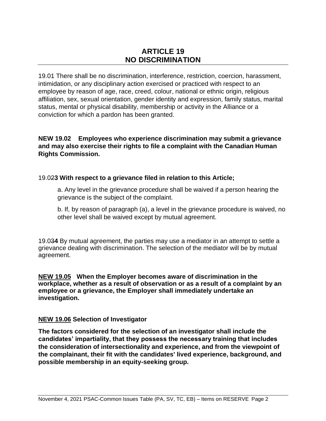## **ARTICLE 19 NO DISCRIMINATION**

19.01 There shall be no discrimination, interference, restriction, coercion, harassment, intimidation, or any disciplinary action exercised or practiced with respect to an employee by reason of age, race, creed, colour, national or ethnic origin, religious affiliation, sex, sexual orientation, gender identity and expression, family status, marital status, mental or physical disability, membership or activity in the Alliance or a conviction for which a pardon has been granted.

## **NEW 19.02 Employees who experience discrimination may submit a grievance and may also exercise their rights to file a complaint with the Canadian Human Rights Commission.**

## 19.02**3 With respect to a grievance filed in relation to this Article;**

a. Any level in the grievance procedure shall be waived if a person hearing the grievance is the subject of the complaint.

b. If, by reason of paragraph (a), a level in the grievance procedure is waived, no other level shall be waived except by mutual agreement.

19.03**4** By mutual agreement, the parties may use a mediator in an attempt to settle a grievance dealing with discrimination. The selection of the mediator will be by mutual agreement.

**NEW 19.05 When the Employer becomes aware of discrimination in the workplace, whether as a result of observation or as a result of a complaint by an employee or a grievance, the Employer shall immediately undertake an investigation.**

#### **NEW 19.06 Selection of Investigator**

**The factors considered for the selection of an investigator shall include the candidates' impartiality, that they possess the necessary training that includes the consideration of intersectionality and experience, and from the viewpoint of the complainant, their fit with the candidates' lived experience, background, and possible membership in an equity-seeking group.**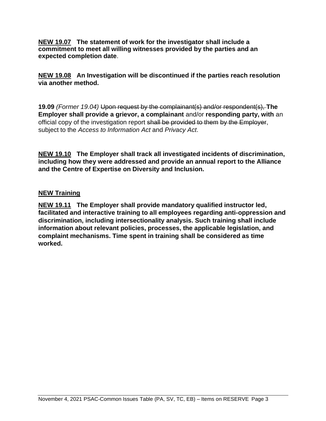**NEW 19.07 The statement of work for the investigator shall include a commitment to meet all willing witnesses provided by the parties and an expected completion date**.

**NEW 19.08 An Investigation will be discontinued if the parties reach resolution via another method.**

**19.09** *(Former 19.04)* Upon request by the complainant(s) and/or respondent(s), **The Employer shall provide a grievor, a complainant** and/or **responding party, with** an official copy of the investigation report shall be provided to them by the Employer, subject to the *Access to Information Act* and *Privacy Act*.

**NEW 19.10 The Employer shall track all investigated incidents of discrimination, including how they were addressed and provide an annual report to the Alliance and the Centre of Expertise on Diversity and Inclusion.**

## **NEW Training**

**NEW 19.11 The Employer shall provide mandatory qualified instructor led, facilitated and interactive training to all employees regarding anti-oppression and discrimination, including intersectionality analysis. Such training shall include information about relevant policies, processes, the applicable legislation, and complaint mechanisms. Time spent in training shall be considered as time worked.**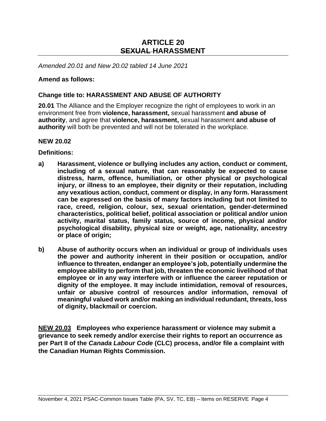## **ARTICLE 20 SEXUAL HARASSMENT**

*Amended 20.01 and New 20.02 tabled 14 June 2021*

#### **Amend as follows:**

#### **Change title to: HARASSMENT AND ABUSE OF AUTHORITY**

**20.01** The Alliance and the Employer recognize the right of employees to work in an environment free from **violence, harassment,** sexual harassment **and abuse of authority**, and agree that **violence, harassment,** sexual harassment **and abuse of authority** will both be prevented and will not be tolerated in the workplace.

#### **NEW 20.02**

**Definitions:** 

- **a) Harassment, violence or bullying includes any action, conduct or comment, including of a sexual nature, that can reasonably be expected to cause distress, harm, offence, humiliation, or other physical or psychological injury, or illness to an employee, their dignity or their reputation, including any vexatious action, conduct, comment or display, in any form. Harassment can be expressed on the basis of many factors including but not limited to race, creed, religion, colour, sex, sexual orientation, gender-determined characteristics, political belief, political association or political and/or union activity, marital status, family status, source of income, physical and/or psychological disability, physical size or weight, age, nationality, ancestry or place of origin;**
- **b) Abuse of authority occurs when an individual or group of individuals uses the power and authority inherent in their position or occupation, and/or influence to threaten, endanger an employee's job, potentially undermine the employee ability to perform that job, threaten the economic livelihood of that employee or in any way interfere with or influence the career reputation or dignity of the employee. It may include intimidation, removal of resources, unfair or abusive control of resources and/or information, removal of meaningful valued work and/or making an individual redundant, threats, loss of dignity, blackmail or coercion.**

**NEW 20.03 Employees who experience harassment or violence may submit a grievance to seek remedy and/or exercise their rights to report an occurrence as per Part II of the** *Canada Labour Code* **(CLC) process, and/or file a complaint with the Canadian Human Rights Commission.**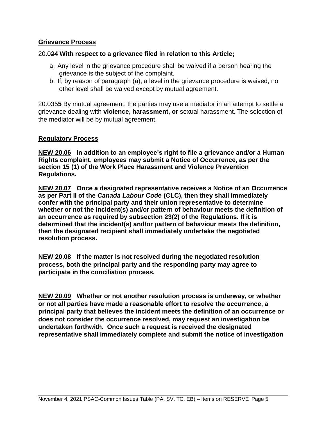## **Grievance Process**

## 20.02**4 With respect to a grievance filed in relation to this Article;**

- a. Any level in the grievance procedure shall be waived if a person hearing the grievance is the subject of the complaint.
- b. If, by reason of paragraph (a), a level in the grievance procedure is waived, no other level shall be waived except by mutual agreement.

20.035**5** By mutual agreement, the parties may use a mediator in an attempt to settle a grievance dealing with **violence, harassment, or** sexual harassment. The selection of the mediator will be by mutual agreement.

#### **Regulatory Process**

**NEW 20.06 In addition to an employee's right to file a grievance and/or a Human Rights complaint, employees may submit a Notice of Occurrence, as per the section 15 (1) of the Work Place Harassment and Violence Prevention Regulations.** 

**NEW 20.07 Once a designated representative receives a Notice of an Occurrence as per Part II of the** *Canada Labour Code* **(CLC), then they shall immediately confer with the principal party and their union representative to determine whether or not the incident(s) and/or pattern of behaviour meets the definition of an occurrence as required by subsection 23(2) of the Regulations. If it is determined that the incident(s) and/or pattern of behaviour meets the definition, then the designated recipient shall immediately undertake the negotiated resolution process.**

**NEW 20.08 If the matter is not resolved during the negotiated resolution process, both the principal party and the responding party may agree to participate in the conciliation process.** 

**NEW 20.09 Whether or not another resolution process is underway, or whether or not all parties have made a reasonable effort to resolve the occurrence, a principal party that believes the incident meets the definition of an occurrence or does not consider the occurrence resolved, may request an investigation be undertaken forthwith. Once such a request is received the designated representative shall immediately complete and submit the notice of investigation**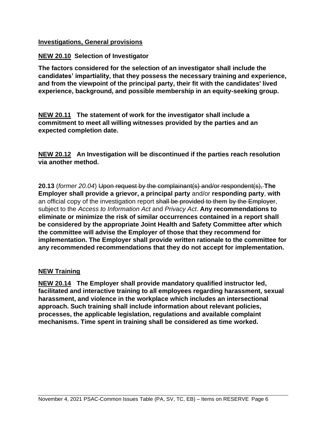## **Investigations, General provisions**

## **NEW 20.10 Selection of Investigator**

**The factors considered for the selection of an investigator shall include the candidates' impartiality, that they possess the necessary training and experience, and from the viewpoint of the principal party, their fit with the candidates' lived experience, background, and possible membership in an equity-seeking group.**

**NEW 20.11 The statement of work for the investigator shall include a commitment to meet all willing witnesses provided by the parties and an expected completion date.**

**NEW 20.12 An Investigation will be discontinued if the parties reach resolution via another method.**

**20.13** (*former 20.04*) Upon request by the complainant(s) and/or respondent(s), **The Employer shall provide a grievor, a principal party** and/or **responding party**, **with** an official copy of the investigation report shall be provided to them by the Employer, subject to the *Access to Information Act* and *Privacy Act*. **Any recommendations to eliminate or minimize the risk of similar occurrences contained in a report shall be considered by the appropriate Joint Health and Safety Committee after which the committee will advise the Employer of those that they recommend for implementation. The Employer shall provide written rationale to the committee for any recommended recommendations that they do not accept for implementation.** 

#### **NEW Training**

**NEW 20.14 The Employer shall provide mandatory qualified instructor led, facilitated and interactive training to all employees regarding harassment, sexual harassment, and violence in the workplace which includes an intersectional approach. Such training shall include information about relevant policies, processes, the applicable legislation, regulations and available complaint mechanisms. Time spent in training shall be considered as time worked.**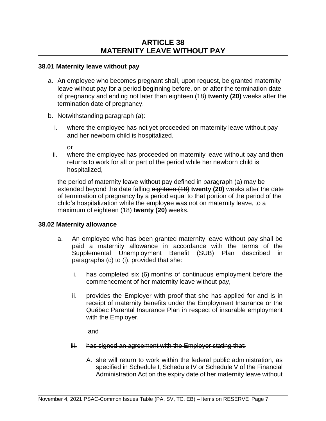#### **38.01 Maternity leave without pay**

- a. An employee who becomes pregnant shall, upon request, be granted maternity leave without pay for a period beginning before, on or after the termination date of pregnancy and ending not later than eighteen (18) **twenty (20)** weeks after the termination date of pregnancy.
- b. Notwithstanding paragraph (a):
	- i. where the employee has not yet proceeded on maternity leave without pay and her newborn child is hospitalized,

or

ii. where the employee has proceeded on maternity leave without pay and then returns to work for all or part of the period while her newborn child is hospitalized,

the period of maternity leave without pay defined in paragraph (a) may be extended beyond the date falling eighteen (18) **twenty (20)** weeks after the date of termination of pregnancy by a period equal to that portion of the period of the child's hospitalization while the employee was not on maternity leave, to a maximum of eighteen (18) **twenty (20)** weeks.

#### **38.02 Maternity allowance**

- a. An employee who has been granted maternity leave without pay shall be paid a maternity allowance in accordance with the terms of the Supplemental Unemployment Benefit (SUB) Plan described in paragraphs (c) to (i), provided that she:
	- i. has completed six (6) months of continuous employment before the commencement of her maternity leave without pay,
	- ii. provides the Employer with proof that she has applied for and is in receipt of maternity benefits under the Employment Insurance or the Québec Parental Insurance Plan in respect of insurable employment with the Employer,

and

- iii. has signed an agreement with the Employer stating that:
	- A. she will return to work within the federal public administration, as specified in Schedule I, Schedule IV or Schedule V of the Financial Administration Act on the expiry date of her maternity leave without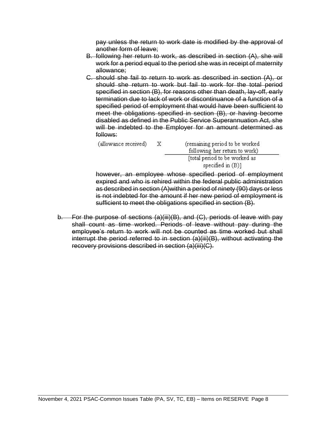pay unless the return to work date is modified by the approval of another form of leave;

- B. following her return to work, as described in section (A), she will work for a period equal to the period she was in receipt of maternity allowance;
- C. should she fail to return to work as described in section (A), or should she return to work but fail to work for the total period specified in section (B), for reasons other than death, lay-off, early termination due to lack of work or discontinuance of a function of a specified period of employment that would have been sufficient to meet the obligations specified in section (B), or having become disabled as defined in the Public Service Superannuation Act, she will be indebted to the Employer for an amount determined as follows:

| (allowance received) | X | (remaining period to be worked<br>following her return to work) |  |
|----------------------|---|-----------------------------------------------------------------|--|
|                      |   | [total period to be worked as                                   |  |
|                      |   | specified in $(B)$ ]                                            |  |

however, an employee whose specified period of employment expired and who is rehired within the federal public administration as described in section (A)within a period of ninety (90) days or less is not indebted for the amount if her new period of employment is sufficient to meet the obligations specified in section (B).

b. For the purpose of sections (a)(iii)(B), and (C), periods of leave with pay shall count as time worked. Periods of leave without pay during the employee's return to work will not be counted as time worked but shall interrupt the period referred to in section (a)(iii)(B), without activating the recovery provisions described in section (a)(iii)(C).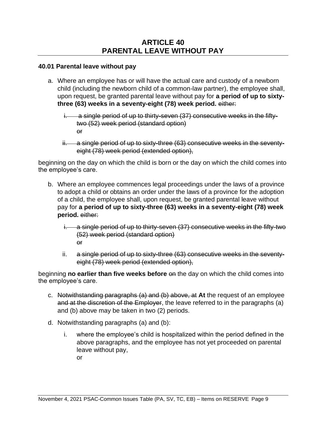## **40.01 Parental leave without pay**

- a. Where an employee has or will have the actual care and custody of a newborn child (including the newborn child of a common-law partner), the employee shall, upon request, be granted parental leave without pay for **a period of up to sixtythree (63) weeks in a seventy-eight (78) week period.** either:
	- i. a single period of up to thirty-seven (37) consecutive weeks in the fiftytwo (52) week period (standard option) or
	- ii. a single period of up to sixty-three (63) consecutive weeks in the seventyeight (78) week period (extended option),

beginning on the day on which the child is born or the day on which the child comes into the employee's care.

- b. Where an employee commences legal proceedings under the laws of a province to adopt a child or obtains an order under the laws of a province for the adoption of a child, the employee shall, upon request, be granted parental leave without pay for **a period of up to sixty-three (63) weeks in a seventy-eight (78) week period.** either:
	- i. a single period of up to thirty-seven (37) consecutive weeks in the fifty-two (52) week period (standard option) or
	- ii. a single period of up to sixty-three (63) consecutive weeks in the seventyeight (78) week period (extended option),

beginning **no earlier than five weeks before** on the day on which the child comes into the employee's care.

- c. Notwithstanding paragraphs (a) and (b) above, at **At** the request of an employee and at the discretion of the Employer, the leave referred to in the paragraphs (a) and (b) above may be taken in two (2) periods.
- d. Notwithstanding paragraphs (a) and (b):
	- i. where the employee's child is hospitalized within the period defined in the above paragraphs, and the employee has not yet proceeded on parental leave without pay, or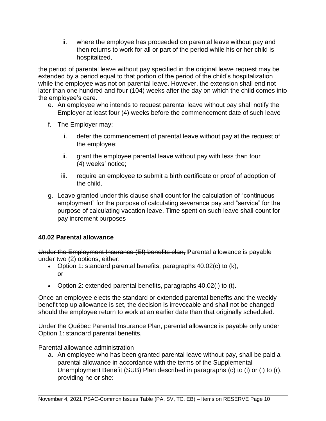ii. where the employee has proceeded on parental leave without pay and then returns to work for all or part of the period while his or her child is hospitalized,

the period of parental leave without pay specified in the original leave request may be extended by a period equal to that portion of the period of the child's hospitalization while the employee was not on parental leave. However, the extension shall end not later than one hundred and four (104) weeks after the day on which the child comes into the employee's care.

- e. An employee who intends to request parental leave without pay shall notify the Employer at least four (4) weeks before the commencement date of such leave
- f. The Employer may:
	- i. defer the commencement of parental leave without pay at the request of the employee;
	- ii. grant the employee parental leave without pay with less than four (4) weeks' notice;
	- iii. require an employee to submit a birth certificate or proof of adoption of the child.
- g. Leave granted under this clause shall count for the calculation of "continuous employment" for the purpose of calculating severance pay and "service" for the purpose of calculating vacation leave. Time spent on such leave shall count for pay increment purposes

#### **40.02 Parental allowance**

Under the Employment Insurance (EI) benefits plan, **P**arental allowance is payable under two (2) options, either:

- Option 1: standard parental benefits, paragraphs 40.02(c) to (k), or
- Option 2: extended parental benefits, paragraphs 40.02(l) to (t).

Once an employee elects the standard or extended parental benefits and the weekly benefit top up allowance is set, the decision is irrevocable and shall not be changed should the employee return to work at an earlier date than that originally scheduled.

Under the Québec Parental Insurance Plan, parental allowance is payable only under Option 1: standard parental benefits.

Parental allowance administration

a. An employee who has been granted parental leave without pay, shall be paid a parental allowance in accordance with the terms of the Supplemental Unemployment Benefit (SUB) Plan described in paragraphs (c) to (i) or (l) to (r), providing he or she: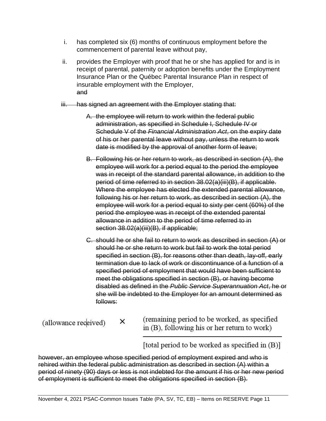- i. has completed six (6) months of continuous employment before the commencement of parental leave without pay,
- ii. provides the Employer with proof that he or she has applied for and is in receipt of parental, paternity or adoption benefits under the Employment Insurance Plan or the Québec Parental Insurance Plan in respect of insurable employment with the Employer, and
- iii. has signed an agreement with the Employer stating that:
	- A. the employee will return to work within the federal public administration, as specified in Schedule I, Schedule IV or Schedule V of the *Financial Administration Act*, on the expiry date of his or her parental leave without pay, unless the return to work date is modified by the approval of another form of leave;
	- B. Following his or her return to work, as described in section (A), the employee will work for a period equal to the period the employee was in receipt of the standard parental allowance, in addition to the period of time referred to in section 38.02(a)(iii)(B), if applicable. Where the employee has elected the extended parental allowance, following his or her return to work, as described in section (A), the employee will work for a period equal to sixty per cent (60%) of the period the employee was in receipt of the extended parental allowance in addition to the period of time referred to in section 38.02(a)(iii)(B), if applicable;
	- C. should he or she fail to return to work as described in section (A) or should he or she return to work but fail to work the total period specified in section (B), for reasons other than death, lay-off, early termination due to lack of work or discontinuance of a function of a specified period of employment that would have been sufficient to meet the obligations specified in section (B), or having become disabled as defined in the *Public Service Superannuation Act*, he or she will be indebted to the Employer for an amount determined as follows:

(allowance received)

×

(remaining period to be worked, as specified in (B), following his or her return to work)

[total period to be worked as specified in (B)]

however, an employee whose specified period of employment expired and who is rehired within the federal public administration as described in section (A) within a period of ninety (90) days or less is not indebted for the amount if his or her new period of employment is sufficient to meet the obligations specified in section (B).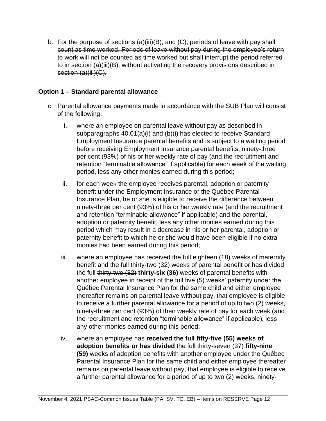b. For the purpose of sections (a)(iii)(B), and (C), periods of leave with pay shall count as time worked. Periods of leave without pay during the employee's return to work will not be counted as time worked but shall interrupt the period referred to in section (a)(iii)(B), without activating the recovery provisions described in section (a)(iii)(C).

## **Option 1 – Standard parental allowance**

- c. Parental allowance payments made in accordance with the SUB Plan will consist of the following:
	- i. where an employee on parental leave without pay as described in subparagraphs 40.01(a)(i) and (b)(i) has elected to receive Standard Employment Insurance parental benefits and is subject to a waiting period before receiving Employment Insurance parental benefits, ninety-three per cent (93%) of his or her weekly rate of pay (and the recruitment and retention "terminable allowance" if applicable) for each week of the waiting period, less any other monies earned during this period;
	- ii. for each week the employee receives parental, adoption or paternity benefit under the Employment Insurance or the Québec Parental Insurance Plan, he or she is eligible to receive the difference between ninety-three per cent (93%) of his or her weekly rate (and the recruitment and retention "terminable allowance" if applicable) and the parental, adoption or paternity benefit, less any other monies earned during this period which may result in a decrease in his or her parental, adoption or paternity benefit to which he or she would have been eligible if no extra monies had been earned during this period;
	- iii. where an employee has received the full eighteen (18) weeks of maternity benefit and the full thirty-two (32) weeks of parental benefit or has divided the full thirty-two (32) **thirty-six (36)** weeks of parental benefits with another employee in receipt of the full five (5) weeks' paternity under the Québec Parental Insurance Plan for the same child and either employee thereafter remains on parental leave without pay, that employee is eligible to receive a further parental allowance for a period of up to two (2) weeks, ninety-three per cent (93%) of their weekly rate of pay for each week (and the recruitment and retention "terminable allowance" if applicable), less any other monies earned during this period;
	- iv. where an employee has **received the full fifty-five (55) weeks of adoption benefits or has divided** the full thirty-seven (37) **fifty-nine (59)** weeks of adoption benefits with another employee under the Québec Parental Insurance Plan for the same child and either employee thereafter remains on parental leave without pay, that employee is eligible to receive a further parental allowance for a period of up to two (2) weeks, ninety-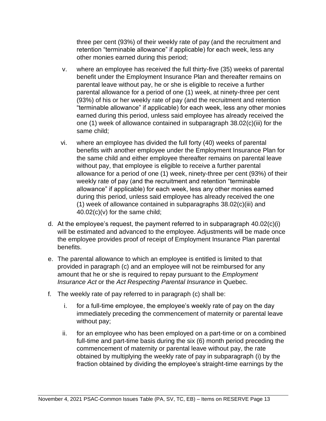three per cent (93%) of their weekly rate of pay (and the recruitment and retention "terminable allowance" if applicable) for each week, less any other monies earned during this period;

- v. where an employee has received the full thirty-five (35) weeks of parental benefit under the Employment Insurance Plan and thereafter remains on parental leave without pay, he or she is eligible to receive a further parental allowance for a period of one (1) week, at ninety-three per cent (93%) of his or her weekly rate of pay (and the recruitment and retention "terminable allowance" if applicable) for each week, less any other monies earned during this period, unless said employee has already received the one (1) week of allowance contained in subparagraph 38.02(c)(iii) for the same child;
- vi. where an employee has divided the full forty (40) weeks of parental benefits with another employee under the Employment Insurance Plan for the same child and either employee thereafter remains on parental leave without pay, that employee is eligible to receive a further parental allowance for a period of one (1) week, ninety-three per cent (93%) of their weekly rate of pay (and the recruitment and retention "terminable allowance" if applicable) for each week, less any other monies earned during this period, unless said employee has already received the one (1) week of allowance contained in subparagraphs 38.02(c)(iii) and  $40.02(c)(v)$  for the same child;
- d. At the employee's request, the payment referred to in subparagraph 40.02(c)(i) will be estimated and advanced to the employee. Adjustments will be made once the employee provides proof of receipt of Employment Insurance Plan parental benefits.
- e. The parental allowance to which an employee is entitled is limited to that provided in paragraph (c) and an employee will not be reimbursed for any amount that he or she is required to repay pursuant to the *Employment Insurance Act* or the *Act Respecting Parental Insurance* in Quebec.
- f. The weekly rate of pay referred to in paragraph (c) shall be:
	- i. for a full-time employee, the employee's weekly rate of pay on the day immediately preceding the commencement of maternity or parental leave without pay;
	- ii. for an employee who has been employed on a part-time or on a combined full-time and part-time basis during the six (6) month period preceding the commencement of maternity or parental leave without pay, the rate obtained by multiplying the weekly rate of pay in subparagraph (i) by the fraction obtained by dividing the employee's straight-time earnings by the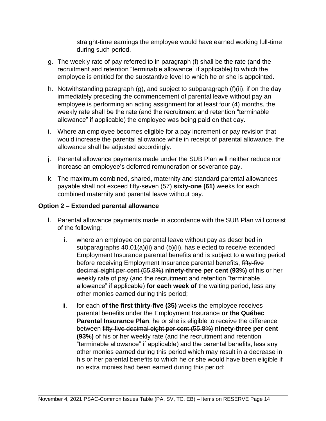straight-time earnings the employee would have earned working full-time during such period.

- g. The weekly rate of pay referred to in paragraph (f) shall be the rate (and the recruitment and retention "terminable allowance" if applicable) to which the employee is entitled for the substantive level to which he or she is appointed.
- h. Notwithstanding paragraph (g), and subject to subparagraph (f)(ii), if on the day immediately preceding the commencement of parental leave without pay an employee is performing an acting assignment for at least four (4) months, the weekly rate shall be the rate (and the recruitment and retention "terminable allowance" if applicable) the employee was being paid on that day.
- i. Where an employee becomes eligible for a pay increment or pay revision that would increase the parental allowance while in receipt of parental allowance, the allowance shall be adjusted accordingly.
- j. Parental allowance payments made under the SUB Plan will neither reduce nor increase an employee's deferred remuneration or severance pay.
- k. The maximum combined, shared, maternity and standard parental allowances payable shall not exceed fifty-seven (57) **sixty-one (61)** weeks for each combined maternity and parental leave without pay.

## **Option 2 – Extended parental allowance**

- l. Parental allowance payments made in accordance with the SUB Plan will consist of the following:
	- i. where an employee on parental leave without pay as described in subparagraphs 40.01(a)(ii) and (b)(ii), has elected to receive extended Employment Insurance parental benefits and is subject to a waiting period before receiving Employment Insurance parental benefits, fifty-five decimal eight per cent (55.8%) **ninety-three per cent (93%)** of his or her weekly rate of pay (and the recruitment and retention "terminable allowance" if applicable) **for each week of** the waiting period, less any other monies earned during this period;
	- ii. for each **of the first thirty-five (35)** week**s** the employee receives parental benefits under the Employment Insurance **or the Québec Parental Insurance Plan**, he or she is eligible to receive the difference between fifty-five decimal eight per cent (55.8%) **ninety-three per cent (93%)** of his or her weekly rate (and the recruitment and retention "terminable allowance" if applicable) and the parental benefits, less any other monies earned during this period which may result in a decrease in his or her parental benefits to which he or she would have been eligible if no extra monies had been earned during this period;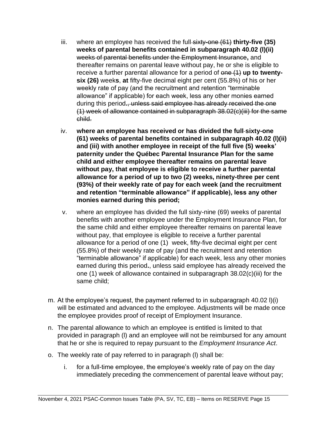- iii. where an employee has received the full-sixty-one (61) **thirty-five (35) weeks of parental benefits contained in subparagraph 40.02 (l)(ii)**  weeks of parental benefits under the Employment Insurance**,** and thereafter remains on parental leave without pay, he or she is eligible to receive a further parental allowance for a period of one (1) **up to twentysix (26)** week**s**, **at** fifty-five decimal eight per cent (55.8%) of his or her weekly rate of pay (and the recruitment and retention "terminable allowance" if applicable) for each week, less any other monies earned during this period**.**, unless said employee has already received the one (1) week of allowance contained in subparagraph 38.02(c)(iii) for the same child.
- iv. **where an employee has received or has divided the full sixty-one (61) weeks of parental benefits contained in subparagraph 40.02 (l)(ii) and (iii) with another employee in receipt of the full five (5) weeks' paternity under the Québec Parental Insurance Plan for the same child and either employee thereafter remains on parental leave without pay, that employee is eligible to receive a further parental allowance for a period of up to two (2) weeks, ninety-three per cent (93%) of their weekly rate of pay for each week (and the recruitment and retention "terminable allowance" if applicable), less any other monies earned during this period;**
- v. where an employee has divided the full sixty-nine (69) weeks of parental benefits with another employee under the Employment Insurance Plan, for the same child and either employee thereafter remains on parental leave without pay, that employee is eligible to receive a further parental allowance for a period of one (1) week, fifty-five decimal eight per cent (55.8%) of their weekly rate of pay (and the recruitment and retention "terminable allowance" if applicable) for each week, less any other monies earned during this period**.**, unless said employee has already received the one (1) week of allowance contained in subparagraph 38.02(c)(iii) for the same child;
- m. At the employee's request, the payment referred to in subparagraph 40.02 l)(i) will be estimated and advanced to the employee. Adjustments will be made once the employee provides proof of receipt of Employment Insurance.
- n. The parental allowance to which an employee is entitled is limited to that provided in paragraph (l) and an employee will not be reimbursed for any amount that he or she is required to repay pursuant to the *Employment Insurance Act*.
- o. The weekly rate of pay referred to in paragraph (l) shall be:
	- i. for a full-time employee, the employee's weekly rate of pay on the day immediately preceding the commencement of parental leave without pay;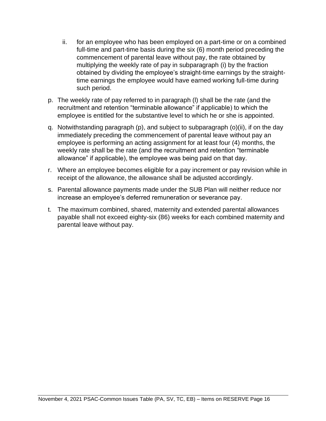- ii. for an employee who has been employed on a part-time or on a combined full-time and part-time basis during the six (6) month period preceding the commencement of parental leave without pay, the rate obtained by multiplying the weekly rate of pay in subparagraph (i) by the fraction obtained by dividing the employee's straight-time earnings by the straighttime earnings the employee would have earned working full-time during such period.
- p. The weekly rate of pay referred to in paragraph (l) shall be the rate (and the recruitment and retention "terminable allowance" if applicable) to which the employee is entitled for the substantive level to which he or she is appointed.
- q. Notwithstanding paragraph (p), and subject to subparagraph (o)(ii), if on the day immediately preceding the commencement of parental leave without pay an employee is performing an acting assignment for at least four (4) months, the weekly rate shall be the rate (and the recruitment and retention "terminable allowance" if applicable), the employee was being paid on that day.
- r. Where an employee becomes eligible for a pay increment or pay revision while in receipt of the allowance, the allowance shall be adjusted accordingly.
- s. Parental allowance payments made under the SUB Plan will neither reduce nor increase an employee's deferred remuneration or severance pay.
- t. The maximum combined, shared, maternity and extended parental allowances payable shall not exceed eighty-six (86) weeks for each combined maternity and parental leave without pay.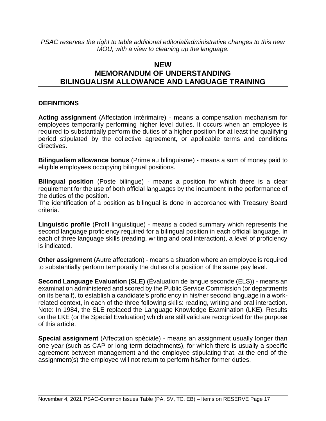*PSAC reserves the right to table additional editorial/administrative changes to this new MOU, with a view to cleaning up the language.*

## **NEW MEMORANDUM OF UNDERSTANDING BILINGUALISM ALLOWANCE AND LANGUAGE TRAINING**

## **DEFINITIONS**

**Acting assignment** (Affectation intérimaire) - means a compensation mechanism for employees temporarily performing higher level duties. It occurs when an employee is required to substantially perform the duties of a higher position for at least the qualifying period stipulated by the collective agreement, or applicable terms and conditions directives.

**Bilingualism allowance bonus** (Prime au bilinguisme) - means a sum of money paid to eligible employees occupying bilingual positions.

**Bilingual position** (Poste bilingue) - means a position for which there is a clear requirement for the use of both official languages by the incumbent in the performance of the duties of the position.

The identification of a position as bilingual is done in accordance with Treasury Board criteria.

**Linguistic profile** (Profil linguistique) - means a coded summary which represents the second language proficiency required for a bilingual position in each official language. In each of three language skills (reading, writing and oral interaction), a level of proficiency is indicated.

**Other assignment** (Autre affectation) - means a situation where an employee is required to substantially perform temporarily the duties of a position of the same pay level.

**Second Language Evaluation (SLE)** (Évaluation de langue seconde (ELS)) - means an examination administered and scored by the Public Service Commission (or departments on its behalf), to establish a candidate's proficiency in his/her second language in a workrelated context, in each of the three following skills: reading, writing and oral interaction. Note: In 1984, the SLE replaced the Language Knowledge Examination (LKE). Results on the LKE (or the Special Evaluation) which are still valid are recognized for the purpose of this article.

**Special assignment** (Affectation spéciale) - means an assignment usually longer than one year (such as CAP or long-term detachments), for which there is usually a specific agreement between management and the employee stipulating that, at the end of the assignment(s) the employee will not return to perform his/her former duties.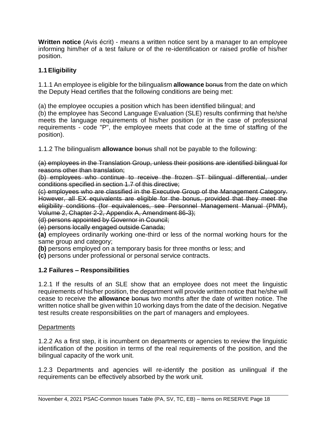**Written notice** (Avis écrit) - means a written notice sent by a manager to an employee informing him/her of a test failure or of the re-identification or raised profile of his/her position.

## **1.1Eligibility**

1.1.1 An employee is eligible for the bilingualism **allowance** bonus from the date on which the Deputy Head certifies that the following conditions are being met:

(a) the employee occupies a position which has been identified bilingual; and

(b) the employee has Second Language Evaluation (SLE) results confirming that he/she meets the language requirements of his/her position (or in the case of professional requirements - code "P", the employee meets that code at the time of staffing of the position).

1.1.2 The bilingualism **allowance** bonus shall not be payable to the following:

(a) employees in the Translation Group, unless their positions are identified bilingual for reasons other than translation;

(b) employees who continue to receive the frozen ST bilingual differential, under conditions specified in section 1.7 of this directive;

(c) employees who are classified in the Executive Group of the Management Category. However, all EX equivalents are eligible for the bonus, provided that they meet the eligibility conditions (for equivalences, see Personnel Management Manual (PMM), Volume 2, Chapter 2-2, Appendix A, Amendment 86-3);

(d) persons appointed by Governor in Council;

(e) persons locally engaged outside Canada;

**(a)** employees ordinarily working one-third or less of the normal working hours for the same group and category;

**(b)** persons employed on a temporary basis for three months or less; and

**(c)** persons under professional or personal service contracts.

## **1.2 Failures – Responsibilities**

1.2.1 If the results of an SLE show that an employee does not meet the linguistic requirements of his/her position, the department will provide written notice that he/she will cease to receive the **allowance** bonus two months after the date of written notice. The written notice shall be given within 10 working days from the date of the decision. Negative test results create responsibilities on the part of managers and employees.

## **Departments**

1.2.2 As a first step, it is incumbent on departments or agencies to review the linguistic identification of the position in terms of the real requirements of the position, and the bilingual capacity of the work unit.

1.2.3 Departments and agencies will re-identify the position as unilingual if the requirements can be effectively absorbed by the work unit.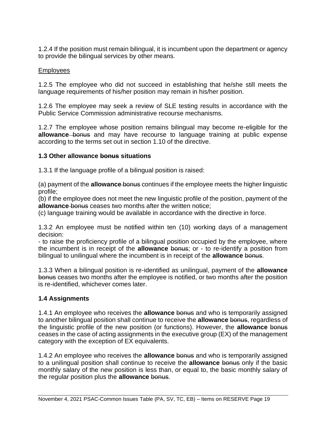1.2.4 If the position must remain bilingual, it is incumbent upon the department or agency to provide the bilingual services by other means.

#### Employees

1.2.5 The employee who did not succeed in establishing that he/she still meets the language requirements of his/her position may remain in his/her position.

1.2.6 The employee may seek a review of SLE testing results in accordance with the Public Service Commission administrative recourse mechanisms.

1.2.7 The employee whose position remains bilingual may become re-eligible for the allowance bonus and may have recourse to language training at public expense according to the terms set out in section 1.10 of the directive.

#### **1.3 Other allowance bonus situations**

1.3.1 If the language profile of a bilingual position is raised:

(a) payment of the **allowance** bonus continues if the employee meets the higher linguistic profile;

(b) if the employee does not meet the new linguistic profile of the position, payment of the **allowance** bonus ceases two months after the written notice;

(c) language training would be available in accordance with the directive in force.

1.3.2 An employee must be notified within ten (10) working days of a management decision:

- to raise the proficiency profile of a bilingual position occupied by the employee, where the incumbent is in receipt of the **allowance** bonus; or - to re-identify a position from bilingual to unilingual where the incumbent is in receipt of the **allowance** bonus.

1.3.3 When a bilingual position is re-identified as unilingual, payment of the **allowance** bonus ceases two months after the employee is notified, or two months after the position is re-identified, whichever comes later.

## **1.4 Assignments**

1.4.1 An employee who receives the **allowance** bonus and who is temporarily assigned to another bilingual position shall continue to receive the **allowance** bonus, regardless of the linguistic profile of the new position (or functions). However, the **allowance** bonus ceases in the case of acting assignments in the executive group (EX) of the management category with the exception of EX equivalents.

1.4.2 An employee who receives the **allowance** bonus and who is temporarily assigned to a unilingual position shall continue to receive the **allowance** bonus only if the basic monthly salary of the new position is less than, or equal to, the basic monthly salary of the regular position plus the **allowance** bonus.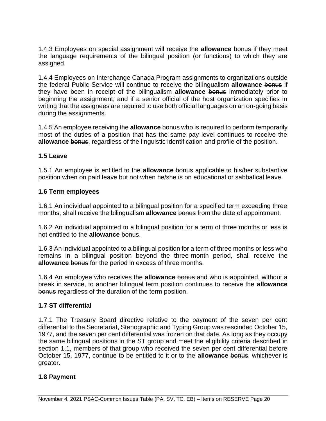1.4.3 Employees on special assignment will receive the **allowance** bonus if they meet the language requirements of the bilingual position (or functions) to which they are assigned.

1.4.4 Employees on Interchange Canada Program assignments to organizations outside the federal Public Service will continue to receive the bilingualism **allowance** bonus if they have been in receipt of the bilingualism **allowance** bonus immediately prior to beginning the assignment, and if a senior official of the host organization specifies in writing that the assignees are required to use both official languages on an on-going basis during the assignments.

1.4.5 An employee receiving the **allowance** bonus who is required to perform temporarily most of the duties of a position that has the same pay level continues to receive the **allowance** bonus, regardless of the linguistic identification and profile of the position.

## **1.5 Leave**

1.5.1 An employee is entitled to the **allowance** bonus applicable to his/her substantive position when on paid leave but not when he/she is on educational or sabbatical leave.

## **1.6 Term employees**

1.6.1 An individual appointed to a bilingual position for a specified term exceeding three months, shall receive the bilingualism **allowance** bonus from the date of appointment.

1.6.2 An individual appointed to a bilingual position for a term of three months or less is not entitled to the **allowance** bonus.

1.6.3 An individual appointed to a bilingual position for a term of three months or less who remains in a bilingual position beyond the three-month period, shall receive the **allowance** bonus for the period in excess of three months.

1.6.4 An employee who receives the **allowance** bonus and who is appointed, without a break in service, to another bilingual term position continues to receive the **allowance** bonus regardless of the duration of the term position.

## **1.7 ST differential**

1.7.1 The Treasury Board directive relative to the payment of the seven per cent differential to the Secretariat, Stenographic and Typing Group was rescinded October 15, 1977, and the seven per cent differential was frozen on that date. As long as they occupy the same bilingual positions in the ST group and meet the eligibility criteria described in section 1.1, members of that group who received the seven per cent differential before October 15, 1977, continue to be entitled to it or to the **allowance** bonus, whichever is greater.

#### **1.8 Payment**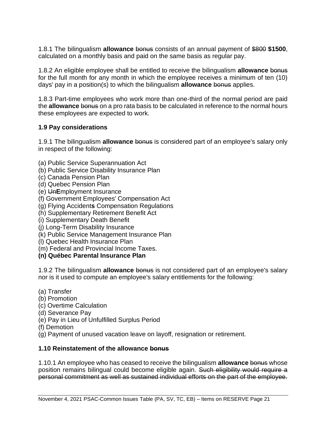1.8.1 The bilingualism **allowance** bonus consists of an annual payment of \$800 **\$1500**, calculated on a monthly basis and paid on the same basis as regular pay.

1.8.2 An eligible employee shall be entitled to receive the bilingualism **allowance** bonus for the full month for any month in which the employee receives a minimum of ten (10) days' pay in a position(s) to which the bilingualism **allowance** bonus applies.

1.8.3 Part-time employees who work more than one-third of the normal period are paid the **allowance** bonus on a pro rata basis to be calculated in reference to the normal hours these employees are expected to work.

## **1.9 Pay considerations**

1.9.1 The bilingualism **allowance** bonus is considered part of an employee's salary only in respect of the following:

- (a) Public Service Superannuation Act
- (b) Public Service Disability Insurance Plan
- (c) Canada Pension Plan
- (d) Quebec Pension Plan
- (e) Un**E**mployment Insurance
- (f) Government Employees' Compensation Act
- (g) Flying Accident**s** Compensation Regulations
- (h) Supplementary Retirement Benefit Act
- (i) Supplementary Death Benefit
- (j) Long-Term Disability Insurance
- (k) Public Service Management Insurance Plan
- (l) Quebec Health Insurance Plan
- (m) Federal and Provincial Income Taxes.

## **(n) Québec Parental Insurance Plan**

1.9.2 The bilingualism **allowance** bonus is not considered part of an employee's salary nor is it used to compute an employee's salary entitlements for the following:

- (a) Transfer
- (b) Promotion
- (c) Overtime Calculation
- (d) Severance Pay
- (e) Pay in Lieu of Unfulfilled Surplus Period
- (f) Demotion
- (g) Payment of unused vacation leave on layoff, resignation or retirement.

## **1.10 Reinstatement of the allowance bonus**

1.10.1 An employee who has ceased to receive the bilingualism **allowance** bonus whose position remains bilingual could become eligible again. Such eligibility would require a personal commitment as well as sustained individual efforts on the part of the employee.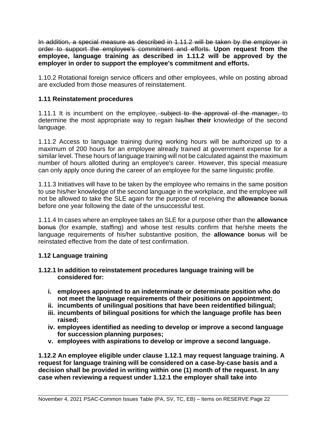In addition, a special measure as described in 1.11.2 will be taken by the employer in order to support the employee's commitment and efforts. **Upon request from the employee, language training as described in 1.11.2 will be approved by the employer in order to support the employee's commitment and efforts.**

1.10.2 Rotational foreign service officers and other employees, while on posting abroad are excluded from those measures of reinstatement.

## **1.11 Reinstatement procedures**

1.11.1 It is incumbent on the employee, subject to the approval of the manager, to determine the most appropriate way to regain his/her **their** knowledge of the second language.

1.11.2 Access to language training during working hours will be authorized up to a maximum of 200 hours for an employee already trained at government expense for a similar level. These hours of language training will not be calculated against the maximum number of hours allotted during an employee's career. However, this special measure can only apply once during the career of an employee for the same linguistic profile.

1.11.3 Initiatives will have to be taken by the employee who remains in the same position to use his/her knowledge of the second language in the workplace, and the employee will not be allowed to take the SLE again for the purpose of receiving the **allowance** bonus before one year following the date of the unsuccessful test.

1.11.4 In cases where an employee takes an SLE for a purpose other than the **allowance** bonus (for example, staffing) and whose test results confirm that he/she meets the language requirements of his/her substantive position, the **allowance** bonus will be reinstated effective from the date of test confirmation.

## **1.12 Language training**

#### **1.12.1 In addition to reinstatement procedures language training will be considered for:**

- **i. employees appointed to an indeterminate or determinate position who do not meet the language requirements of their positions on appointment;**
- **ii. incumbents of unilingual positions that have been reidentified bilingual;**
- **iii. incumbents of bilingual positions for which the language profile has been raised;**
- **iv. employees identified as needing to develop or improve a second language for succession planning purposes;**
- **v. employees with aspirations to develop or improve a second language.**

**1.12.2 An employee eligible under clause 1.12.1 may request language training. A request for language training will be considered on a case**‑**by**‑**case basis and a decision shall be provided in writing within one (1) month of the request. In any case when reviewing a request under 1.12.1 the employer shall take into**